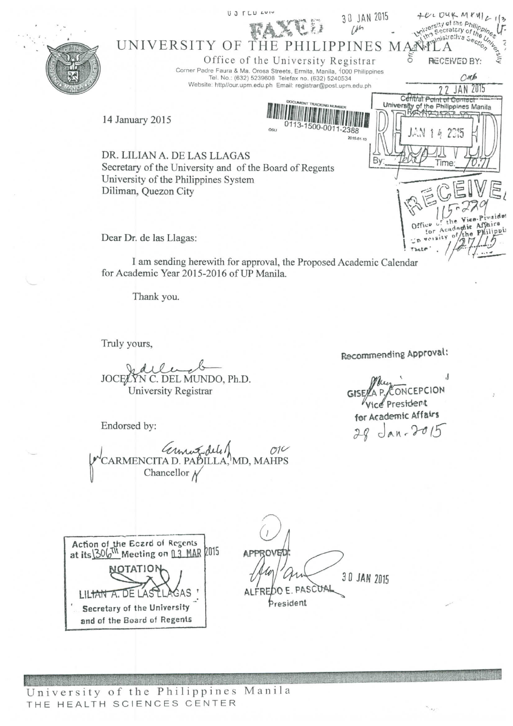

Thank you.

Truly yours,

JOCELYN C. DEL MUNDO, Ph.D. University Registrar

Endorsed by:

 $O1<sup>2</sup>$ anne del 1<br>ARMENCITA D. PADILLA, MD, MAHPS<br>Chancellor N

Recommending Approval:

 $\cdot$ NCEPCION Vice President for Academic Affairs 28 Jan. 2015



OVE 30 JAN 2015 OO E. PASCOA President